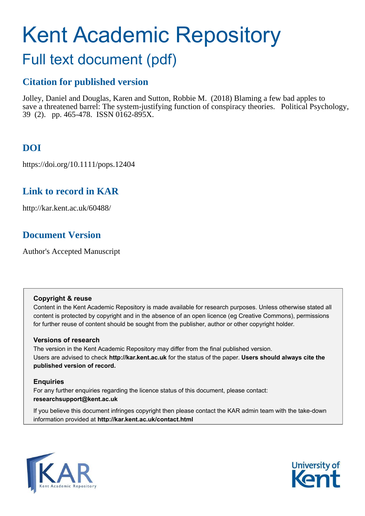# Kent Academic Repository

## Full text document (pdf)

## **Citation for published version**

Jolley, Daniel and Douglas, Karen and Sutton, Robbie M. (2018) Blaming a few bad apples to save a threatened barrel: The system-justifying function of conspiracy theories. Political Psychology, 39 (2). pp. 465-478. ISSN 0162-895X.

## **DOI**

https://doi.org/10.1111/pops.12404

## **Link to record in KAR**

http://kar.kent.ac.uk/60488/

## **Document Version**

Author's Accepted Manuscript

#### **Copyright & reuse**

Content in the Kent Academic Repository is made available for research purposes. Unless otherwise stated all content is protected by copyright and in the absence of an open licence (eg Creative Commons), permissions for further reuse of content should be sought from the publisher, author or other copyright holder.

#### **Versions of research**

The version in the Kent Academic Repository may differ from the final published version. Users are advised to check **http://kar.kent.ac.uk** for the status of the paper. **Users should always cite the published version of record.**

#### **Enquiries**

For any further enquiries regarding the licence status of this document, please contact: **researchsupport@kent.ac.uk**

If you believe this document infringes copyright then please contact the KAR admin team with the take-down information provided at **http://kar.kent.ac.uk/contact.html**



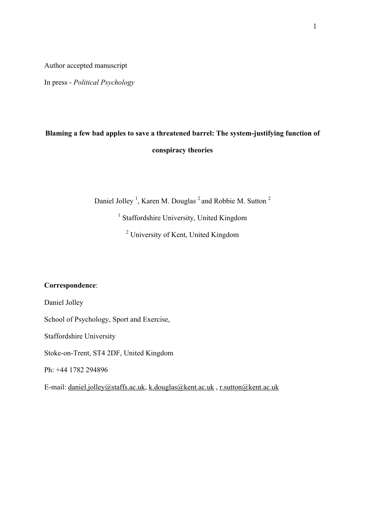Author accepted manuscript

In press - *Political Psychology*

## **Blaming a few bad apples to save a threatened barrel: The system-justifying function of conspiracy theories**

Daniel Jolley<sup>1</sup>, Karen M. Douglas<sup>2</sup> and Robbie M. Sutton<sup>2</sup>

<sup>1</sup> Staffordshire University, United Kingdom

<sup>2</sup> University of Kent, United Kingdom

#### **Correspondence**:

Daniel Jolley

School of Psychology, Sport and Exercise,

Staffordshire University

Stoke-on-Trent, ST4 2DF, United Kingdom

Ph: +44 1782 294896

E-mail: daniel.jolley@staffs.ac.uk, k.douglas@kent.ac.uk , r.sutton@kent.ac.uk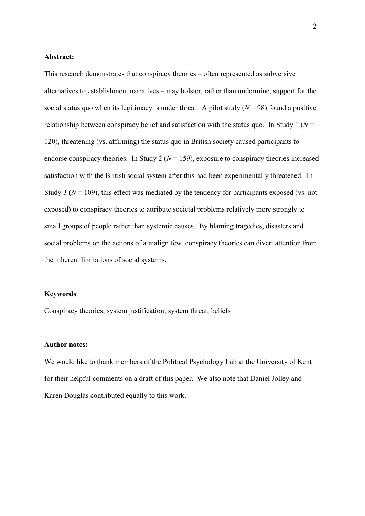#### **Abstract:**

This research demonstrates that conspiracy theories – often represented as subversive alternatives to establishment narratives – may bolster, rather than undermine, support for the social status quo when its legitimacy is under threat. A pilot study  $(N = 98)$  found a positive relationship between conspiracy belief and satisfaction with the status quo. In Study 1 ( $N =$ 120), threatening (vs. affirming) the status quo in British society caused participants to endorse conspiracy theories. In Study 2 ( $N = 159$ ), exposure to conspiracy theories increased satisfaction with the British social system after this had been experimentally threatened. In Study 3 ( $N = 109$ ), this effect was mediated by the tendency for participants exposed (vs. not exposed) to conspiracy theories to attribute societal problems relatively more strongly to small groups of people rather than systemic causes. By blaming tragedies, disasters and social problems on the actions of a malign few, conspiracy theories can divert attention from the inherent limitations of social systems.

#### **Keywords**:

Conspiracy theories; system justification; system threat; beliefs

#### **Author notes:**

We would like to thank members of the Political Psychology Lab at the University of Kent for their helpful comments on a draft of this paper. We also note that Daniel Jolley and Karen Douglas contributed equally to this work.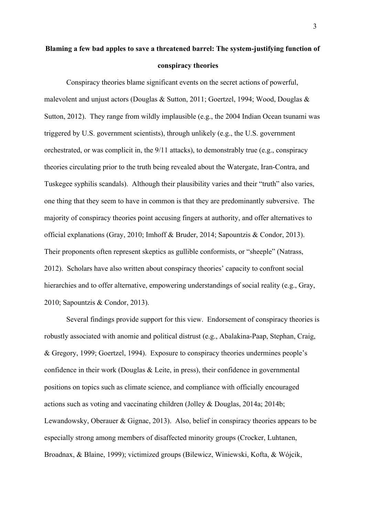## **Blaming a few bad apples to save a threatened barrel: The system-justifying function of conspiracy theories**

Conspiracy theories blame significant events on the secret actions of powerful, malevolent and unjust actors (Douglas & Sutton, 2011; Goertzel, 1994; Wood, Douglas & Sutton, 2012). They range from wildly implausible (e.g., the 2004 Indian Ocean tsunami was triggered by U.S. government scientists), through unlikely (e.g., the U.S. government orchestrated, or was complicit in, the 9/11 attacks), to demonstrably true (e.g., conspiracy theories circulating prior to the truth being revealed about the Watergate, Iran-Contra, and Tuskegee syphilis scandals). Although their plausibility varies and their "truth" also varies, one thing that they seem to have in common is that they are predominantly subversive. The majority of conspiracy theories point accusing fingers at authority, and offer alternatives to official explanations (Gray, 2010; Imhoff & Bruder, 2014; Sapountzis & Condor, 2013). Their proponents often represent skeptics as gullible conformists, or "sheeple" (Natrass, 2012). Scholars have also written about conspiracy theories' capacity to confront social hierarchies and to offer alternative, empowering understandings of social reality (e.g., Gray, 2010; Sapountzis & Condor, 2013).

Several findings provide support for this view. Endorsement of conspiracy theories is robustly associated with anomie and political distrust (e.g., Abalakina-Paap, Stephan, Craig, & Gregory, 1999; Goertzel, 1994). Exposure to conspiracy theories undermines people's confidence in their work (Douglas  $&$  Leite, in press), their confidence in governmental positions on topics such as climate science, and compliance with officially encouraged actions such as voting and vaccinating children (Jolley & Douglas, 2014a; 2014b; Lewandowsky, Oberauer & Gignac, 2013). Also, belief in conspiracy theories appears to be especially strong among members of disaffected minority groups (Crocker, Luhtanen, Broadnax, & Blaine, 1999); victimized groups (Bilewicz, Winiewski, Kofta, & Wójcik,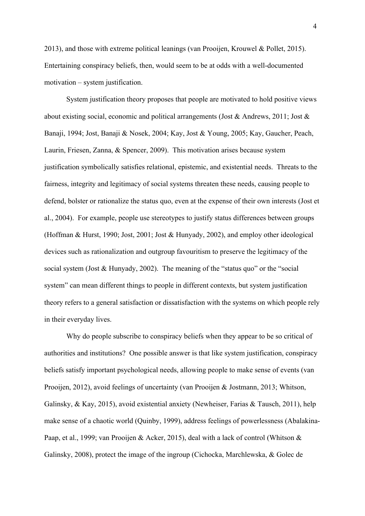2013), and those with extreme political leanings (van Prooijen, Krouwel & Pollet, 2015). Entertaining conspiracy beliefs, then, would seem to be at odds with a well-documented motivation – system justification.

System justification theory proposes that people are motivated to hold positive views about existing social, economic and political arrangements (Jost & Andrews, 2011; Jost & Banaji, 1994; Jost, Banaji & Nosek, 2004; Kay, Jost & Young, 2005; Kay, Gaucher, Peach, Laurin, Friesen, Zanna, & Spencer, 2009). This motivation arises because system justification symbolically satisfies relational, epistemic, and existential needs. Threats to the fairness, integrity and legitimacy of social systems threaten these needs, causing people to defend, bolster or rationalize the status quo, even at the expense of their own interests (Jost et al., 2004). For example, people use stereotypes to justify status differences between groups (Hoffman & Hurst, 1990; Jost, 2001; Jost & Hunyady, 2002), and employ other ideological devices such as rationalization and outgroup favouritism to preserve the legitimacy of the social system (Jost & Hunyady, 2002). The meaning of the "status quo" or the "social system" can mean different things to people in different contexts, but system justification theory refers to a general satisfaction or dissatisfaction with the systems on which people rely in their everyday lives.

Why do people subscribe to conspiracy beliefs when they appear to be so critical of authorities and institutions? One possible answer is that like system justification, conspiracy beliefs satisfy important psychological needs, allowing people to make sense of events (van Prooijen, 2012), avoid feelings of uncertainty (van Prooijen & Jostmann, 2013; Whitson, Galinsky, & Kay, 2015), avoid existential anxiety (Newheiser, Farias & Tausch, 2011), help make sense of a chaotic world (Quinby, 1999), address feelings of powerlessness (Abalakina-Paap, et al., 1999; van Prooijen & Acker, 2015), deal with a lack of control (Whitson & Galinsky, 2008), protect the image of the ingroup (Cichocka, Marchlewska, & Golec de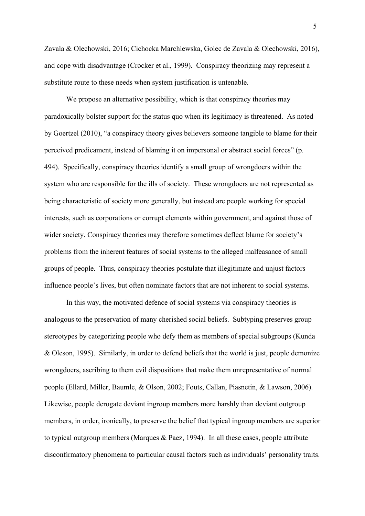Zavala & Olechowski, 2016; Cichocka Marchlewska, Golec de Zavala & Olechowski, 2016), and cope with disadvantage (Crocker et al., 1999). Conspiracy theorizing may represent a substitute route to these needs when system justification is untenable.

We propose an alternative possibility, which is that conspiracy theories may paradoxically bolster support for the status quo when its legitimacy is threatened. As noted by Goertzel (2010), "a conspiracy theory gives believers someone tangible to blame for their perceived predicament, instead of blaming it on impersonal or abstract social forces" (p. 494). Specifically, conspiracy theories identify a small group of wrongdoers within the system who are responsible for the ills of society. These wrongdoers are not represented as being characteristic of society more generally, but instead are people working for special interests, such as corporations or corrupt elements within government, and against those of wider society. Conspiracy theories may therefore sometimes deflect blame for society's problems from the inherent features of social systems to the alleged malfeasance of small groups of people. Thus, conspiracy theories postulate that illegitimate and unjust factors influence people's lives, but often nominate factors that are not inherent to social systems.

In this way, the motivated defence of social systems via conspiracy theories is analogous to the preservation of many cherished social beliefs. Subtyping preserves group stereotypes by categorizing people who defy them as members of special subgroups (Kunda & Oleson, 1995). Similarly, in order to defend beliefs that the world is just, people demonize wrongdoers, ascribing to them evil dispositions that make them unrepresentative of normal people (Ellard, Miller, Baumle, & Olson, 2002; Fouts, Callan, Piasnetin, & Lawson, 2006). Likewise, people derogate deviant ingroup members more harshly than deviant outgroup members, in order, ironically, to preserve the belief that typical ingroup members are superior to typical outgroup members (Marques & Paez, 1994). In all these cases, people attribute disconfirmatory phenomena to particular causal factors such as individuals' personality traits.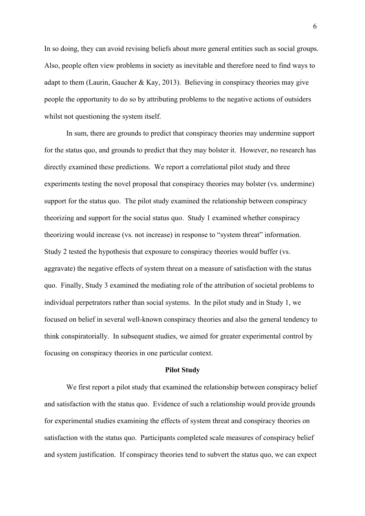In so doing, they can avoid revising beliefs about more general entities such as social groups. Also, people often view problems in society as inevitable and therefore need to find ways to adapt to them (Laurin, Gaucher & Kay, 2013). Believing in conspiracy theories may give people the opportunity to do so by attributing problems to the negative actions of outsiders whilst not questioning the system itself.

In sum, there are grounds to predict that conspiracy theories may undermine support for the status quo, and grounds to predict that they may bolster it. However, no research has directly examined these predictions. We report a correlational pilot study and three experiments testing the novel proposal that conspiracy theories may bolster (vs. undermine) support for the status quo. The pilot study examined the relationship between conspiracy theorizing and support for the social status quo. Study 1 examined whether conspiracy theorizing would increase (vs. not increase) in response to "system threat" information. Study 2 tested the hypothesis that exposure to conspiracy theories would buffer (vs. aggravate) the negative effects of system threat on a measure of satisfaction with the status quo. Finally, Study 3 examined the mediating role of the attribution of societal problems to individual perpetrators rather than social systems. In the pilot study and in Study 1, we focused on belief in several well-known conspiracy theories and also the general tendency to think conspiratorially. In subsequent studies, we aimed for greater experimental control by focusing on conspiracy theories in one particular context.

#### **Pilot Study**

We first report a pilot study that examined the relationship between conspiracy belief and satisfaction with the status quo. Evidence of such a relationship would provide grounds for experimental studies examining the effects of system threat and conspiracy theories on satisfaction with the status quo. Participants completed scale measures of conspiracy belief and system justification. If conspiracy theories tend to subvert the status quo, we can expect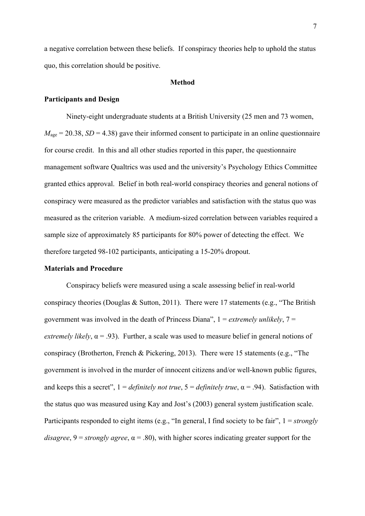a negative correlation between these beliefs. If conspiracy theories help to uphold the status quo, this correlation should be positive.

#### **Method**

#### **Participants and Design**

Ninety-eight undergraduate students at a British University (25 men and 73 women,  $M_{\text{age}} = 20.38$ , *SD* = 4.38) gave their informed consent to participate in an online questionnaire for course credit. In this and all other studies reported in this paper, the questionnaire management software Qualtrics was used and the university's Psychology Ethics Committee granted ethics approval. Belief in both real-world conspiracy theories and general notions of conspiracy were measured as the predictor variables and satisfaction with the status quo was measured as the criterion variable. A medium-sized correlation between variables required a sample size of approximately 85 participants for 80% power of detecting the effect. We therefore targeted 98-102 participants, anticipating a 15-20% dropout.

#### **Materials and Procedure**

Conspiracy beliefs were measured using a scale assessing belief in real-world conspiracy theories (Douglas & Sutton, 2011). There were 17 statements (e.g., "The British government was involved in the death of Princess Diana", 1 = *extremely unlikely*, 7 = *extremely likely*,  $\alpha = .93$ ). Further, a scale was used to measure belief in general notions of conspiracy (Brotherton, French & Pickering, 2013). There were 15 statements (e.g., "The government is involved in the murder of innocent citizens and/or well-known public figures, and keeps this a secret",  $1 = \text{definitely not true}, 5 = \text{definitely true}, \alpha = .94$ ). Satisfaction with the status quo was measured using Kay and Jost's (2003) general system justification scale. Participants responded to eight items (e.g., "In general, I find society to be fair", 1 = *strongly disagree*, 9 = *strongly agree*, α = .80), with higher scores indicating greater support for the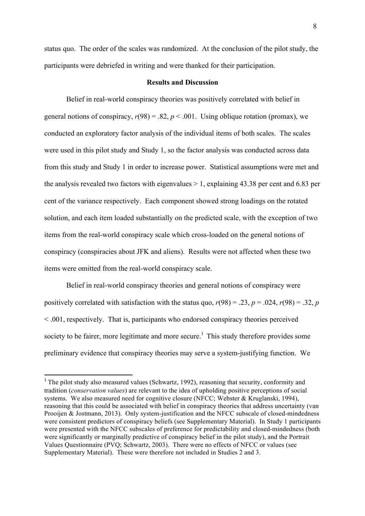status quo. The order of the scales was randomized. At the conclusion of the pilot study, the participants were debriefed in writing and were thanked for their participation.

#### **Results and Discussion**

Belief in real-world conspiracy theories was positively correlated with belief in general notions of conspiracy,  $r(98) = .82$ ,  $p < .001$ . Using oblique rotation (promax), we conducted an exploratory factor analysis of the individual items of both scales. The scales were used in this pilot study and Study 1, so the factor analysis was conducted across data from this study and Study 1 in order to increase power. Statistical assumptions were met and the analysis revealed two factors with eigenvalues  $> 1$ , explaining 43.38 per cent and 6.83 per cent of the variance respectively. Each component showed strong loadings on the rotated solution, and each item loaded substantially on the predicted scale, with the exception of two items from the real-world conspiracy scale which cross-loaded on the general notions of conspiracy (conspiracies about JFK and aliens). Results were not affected when these two items were omitted from the real-world conspiracy scale.

Belief in real-world conspiracy theories and general notions of conspiracy were positively correlated with satisfaction with the status quo,  $r(98) = .23$ ,  $p = .024$ ,  $r(98) = .32$ ,  $p = .024$ < .001, respectively. That is, participants who endorsed conspiracy theories perceived society to be fairer, more legitimate and more secure.<sup>1</sup> This study therefore provides some preliminary evidence that conspiracy theories may serve a system-justifying function. We

<u> 1989 - Johann Barn, mars ann an t-Aonaich an t-Aonaich an t-Aonaich an t-Aonaich an t-Aonaich ann an t-Aonaich</u>

<sup>&</sup>lt;sup>1</sup> The pilot study also measured values (Schwartz, 1992), reasoning that security, conformity and tradition (*conservation values*) are relevant to the idea of upholding positive perceptions of social systems. We also measured need for cognitive closure (NFCC; Webster & Kruglanski, 1994), reasoning that this could be associated with belief in conspiracy theories that address uncertainty (van Prooijen & Jostmann, 2013). Only system-justification and the NFCC subscale of closed-mindedness were consistent predictors of conspiracy beliefs (see Supplementary Material). In Study 1 participants were presented with the NFCC subscales of preference for predictability and closed-mindedness (both were significantly or marginally predictive of conspiracy belief in the pilot study), and the Portrait Values Questionnaire (PVQ; Schwartz, 2003). There were no effects of NFCC or values (see Supplementary Material). These were therefore not included in Studies 2 and 3.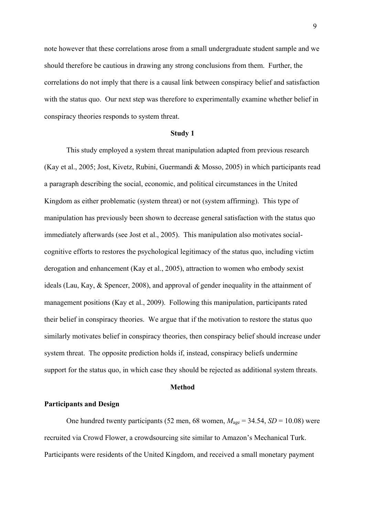note however that these correlations arose from a small undergraduate student sample and we should therefore be cautious in drawing any strong conclusions from them. Further, the correlations do not imply that there is a causal link between conspiracy belief and satisfaction with the status quo. Our next step was therefore to experimentally examine whether belief in conspiracy theories responds to system threat.

#### **Study 1**

This study employed a system threat manipulation adapted from previous research (Kay et al., 2005; Jost, Kivetz, Rubini, Guermandi & Mosso, 2005) in which participants read a paragraph describing the social, economic, and political circumstances in the United Kingdom as either problematic (system threat) or not (system affirming). This type of manipulation has previously been shown to decrease general satisfaction with the status quo immediately afterwards (see Jost et al., 2005). This manipulation also motivates socialcognitive efforts to restores the psychological legitimacy of the status quo, including victim derogation and enhancement (Kay et al., 2005), attraction to women who embody sexist ideals (Lau, Kay, & Spencer, 2008), and approval of gender inequality in the attainment of management positions (Kay et al., 2009). Following this manipulation, participants rated their belief in conspiracy theories. We argue that if the motivation to restore the status quo similarly motivates belief in conspiracy theories, then conspiracy belief should increase under system threat. The opposite prediction holds if, instead, conspiracy beliefs undermine support for the status quo, in which case they should be rejected as additional system threats.

#### **Method**

#### **Participants and Design**

One hundred twenty participants (52 men, 68 women,  $M_{\text{age}} = 34.54$ ,  $SD = 10.08$ ) were recruited via Crowd Flower, a crowdsourcing site similar to Amazon's Mechanical Turk. Participants were residents of the United Kingdom, and received a small monetary payment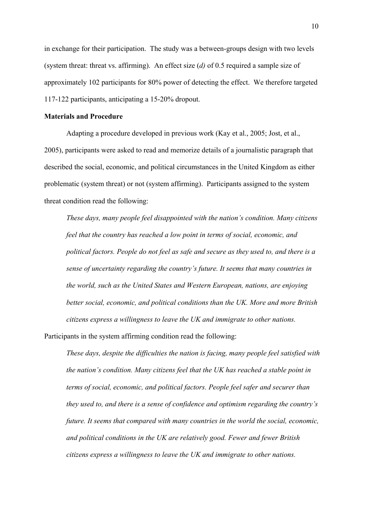in exchange for their participation. The study was a between-groups design with two levels (system threat: threat vs. affirming). An effect size (*d)* of 0.5 required a sample size of approximately 102 participants for 80% power of detecting the effect. We therefore targeted 117-122 participants, anticipating a 15-20% dropout.

#### **Materials and Procedure**

Adapting a procedure developed in previous work (Kay et al., 2005; Jost, et al., 2005), participants were asked to read and memorize details of a journalistic paragraph that described the social, economic, and political circumstances in the United Kingdom as either problematic (system threat) or not (system affirming). Participants assigned to the system threat condition read the following:

*These days, many people feel disappointed with the nation's condition. Many citizens feel that the country has reached a low point in terms of social, economic, and political factors. People do not feel as safe and secure as they used to, and there is a sense of uncertainty regarding the country's future. It seems that many countries in the world, such as the United States and Western European, nations, are enjoying better social, economic, and political conditions than the UK. More and more British citizens express a willingness to leave the UK and immigrate to other nations.*

Participants in the system affirming condition read the following:

*These days, despite the difficulties the nation is facing, many people feel satisfied with the nation's condition. Many citizens feel that the UK has reached a stable point in terms of social, economic, and political factors. People feel safer and securer than they used to, and there is a sense of confidence and optimism regarding the country's future. It seems that compared with many countries in the world the social, economic, and political conditions in the UK are relatively good. Fewer and fewer British citizens express a willingness to leave the UK and immigrate to other nations.*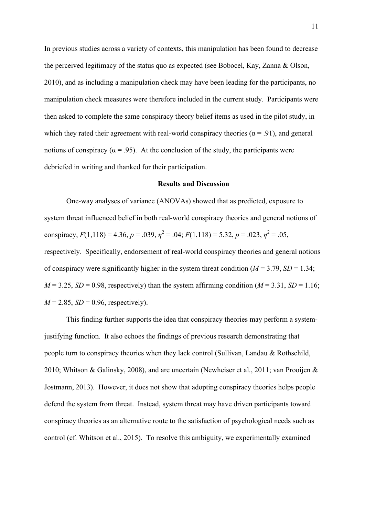In previous studies across a variety of contexts, this manipulation has been found to decrease the perceived legitimacy of the status quo as expected (see Bobocel, Kay, Zanna & Olson, 2010), and as including a manipulation check may have been leading for the participants, no manipulation check measures were therefore included in the current study. Participants were then asked to complete the same conspiracy theory belief items as used in the pilot study, in which they rated their agreement with real-world conspiracy theories ( $\alpha$  = .91), and general notions of conspiracy ( $\alpha$  = .95). At the conclusion of the study, the participants were debriefed in writing and thanked for their participation.

#### **Results and Discussion**

One-way analyses of variance (ANOVAs) showed that as predicted, exposure to system threat influenced belief in both real-world conspiracy theories and general notions of conspiracy,  $F(1,118) = 4.36$ ,  $p = .039$ ,  $\eta^2 = .04$ ;  $F(1,118) = 5.32$ ,  $p = .023$ ,  $\eta^2 = .05$ , respectively. Specifically, endorsement of real-world conspiracy theories and general notions of conspiracy were significantly higher in the system threat condition  $(M = 3.79, SD = 1.34$ ;  $M = 3.25$ ,  $SD = 0.98$ , respectively) than the system affirming condition ( $M = 3.31$ ,  $SD = 1.16$ ;  $M = 2.85$ ,  $SD = 0.96$ , respectively).

This finding further supports the idea that conspiracy theories may perform a systemjustifying function. It also echoes the findings of previous research demonstrating that people turn to conspiracy theories when they lack control (Sullivan, Landau & Rothschild, 2010; Whitson & Galinsky, 2008), and are uncertain (Newheiser et al., 2011; van Prooijen & Jostmann, 2013). However, it does not show that adopting conspiracy theories helps people defend the system from threat. Instead, system threat may have driven participants toward conspiracy theories as an alternative route to the satisfaction of psychological needs such as control (cf. Whitson et al., 2015). To resolve this ambiguity, we experimentally examined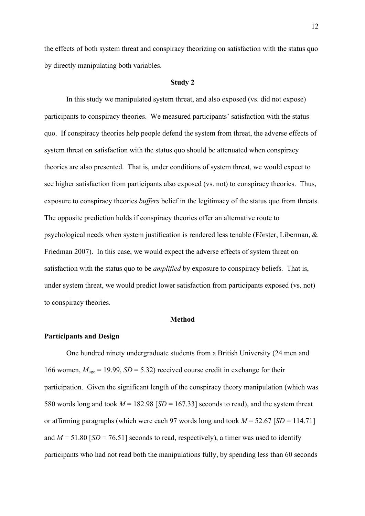the effects of both system threat and conspiracy theorizing on satisfaction with the status quo by directly manipulating both variables.

#### **Study 2**

In this study we manipulated system threat, and also exposed (vs. did not expose) participants to conspiracy theories. We measured participants' satisfaction with the status quo. If conspiracy theories help people defend the system from threat, the adverse effects of system threat on satisfaction with the status quo should be attenuated when conspiracy theories are also presented. That is, under conditions of system threat, we would expect to see higher satisfaction from participants also exposed (vs. not) to conspiracy theories. Thus, exposure to conspiracy theories *buffers* belief in the legitimacy of the status quo from threats. The opposite prediction holds if conspiracy theories offer an alternative route to psychological needs when system justification is rendered less tenable (Förster, Liberman, & Friedman 2007). In this case, we would expect the adverse effects of system threat on satisfaction with the status quo to be *amplified* by exposure to conspiracy beliefs. That is, under system threat, we would predict lower satisfaction from participants exposed (vs. not) to conspiracy theories.

#### **Method**

#### **Participants and Design**

One hundred ninety undergraduate students from a British University (24 men and 166 women,  $M_{\text{age}} = 19.99$ ,  $SD = 5.32$ ) received course credit in exchange for their participation. Given the significant length of the conspiracy theory manipulation (which was 580 words long and took  $M = 182.98$  [*SD* = 167.33] seconds to read), and the system threat or affirming paragraphs (which were each 97 words long and took  $M = 52.67$  [*SD* = 114.71] and  $M = 51.80$  [*SD* = 76.51] seconds to read, respectively), a timer was used to identify participants who had not read both the manipulations fully, by spending less than 60 seconds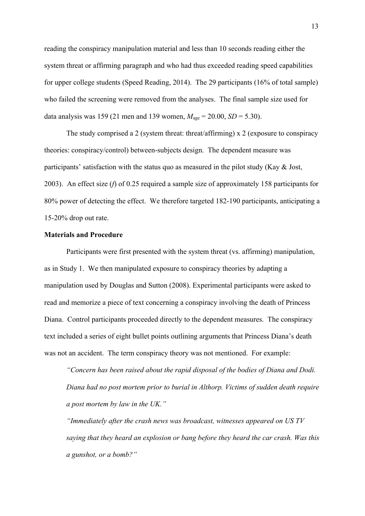reading the conspiracy manipulation material and less than 10 seconds reading either the system threat or affirming paragraph and who had thus exceeded reading speed capabilities for upper college students (Speed Reading, 2014). The 29 participants (16% of total sample) who failed the screening were removed from the analyses. The final sample size used for data analysis was 159 (21 men and 139 women,  $M_{\text{age}} = 20.00$ ,  $SD = 5.30$ ).

The study comprised a 2 (system threat: threat/affirming) x 2 (exposure to conspiracy theories: conspiracy/control) between-subjects design. The dependent measure was participants' satisfaction with the status quo as measured in the pilot study (Kay & Jost, 2003). An effect size (*f*) of 0.25 required a sample size of approximately 158 participants for 80% power of detecting the effect. We therefore targeted 182-190 participants, anticipating a 15-20% drop out rate.

#### **Materials and Procedure**

Participants were first presented with the system threat (vs. affirming) manipulation, as in Study 1. We then manipulated exposure to conspiracy theories by adapting a manipulation used by Douglas and Sutton (2008). Experimental participants were asked to read and memorize a piece of text concerning a conspiracy involving the death of Princess Diana. Control participants proceeded directly to the dependent measures. The conspiracy text included a series of eight bullet points outlining arguments that Princess Diana's death was not an accident. The term conspiracy theory was not mentioned. For example:

*"Concern has been raised about the rapid disposal of the bodies of Diana and Dodi. Diana had no post mortem prior to burial in Althorp. Victims of sudden death require a post mortem by law in the UK."*

*"Immediately after the crash news was broadcast, witnesses appeared on US TV saying that they heard an explosion or bang before they heard the car crash. Was this a gunshot, or a bomb?"*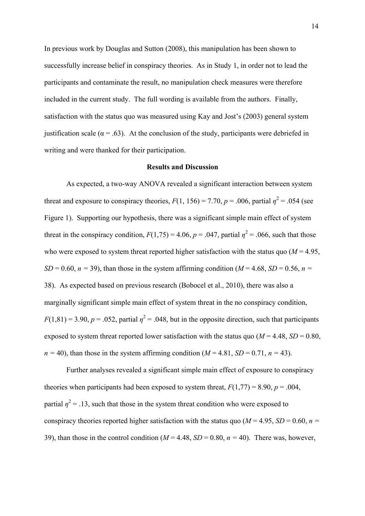In previous work by Douglas and Sutton (2008), this manipulation has been shown to successfully increase belief in conspiracy theories. As in Study 1, in order not to lead the participants and contaminate the result, no manipulation check measures were therefore included in the current study. The full wording is available from the authors. Finally, satisfaction with the status quo was measured using Kay and Jost's (2003) general system justification scale ( $\alpha$  = .63). At the conclusion of the study, participants were debriefed in writing and were thanked for their participation.

#### **Results and Discussion**

As expected, a two-way ANOVA revealed a significant interaction between system threat and exposure to conspiracy theories,  $F(1, 156) = 7.70$ ,  $p = .006$ , partial  $\eta^2 = .054$  (see Figure 1). Supporting our hypothesis, there was a significant simple main effect of system threat in the conspiracy condition,  $F(1,75) = 4.06$ ,  $p = .047$ , partial  $\eta^2 = .066$ , such that those who were exposed to system threat reported higher satisfaction with the status quo  $(M = 4.95)$ ,  $SD = 0.60$ ,  $n = 39$ ), than those in the system affirming condition ( $M = 4.68$ ,  $SD = 0.56$ ,  $n =$ 38). As expected based on previous research (Bobocel et al., 2010), there was also a marginally significant simple main effect of system threat in the no conspiracy condition,  $F(1,81) = 3.90, p = .052$ , partial  $\eta^2 = .048$ , but in the opposite direction, such that participants exposed to system threat reported lower satisfaction with the status quo  $(M = 4.48, SD = 0.80,$  $n = 40$ , than those in the system affirming condition ( $M = 4.81$ ,  $SD = 0.71$ ,  $n = 43$ ).

Further analyses revealed a significant simple main effect of exposure to conspiracy theories when participants had been exposed to system threat,  $F(1,77) = 8.90$ ,  $p = .004$ , partial  $\eta^2$  = .13, such that those in the system threat condition who were exposed to conspiracy theories reported higher satisfaction with the status quo ( $M = 4.95$ ,  $SD = 0.60$ ,  $n =$ 39), than those in the control condition ( $M = 4.48$ ,  $SD = 0.80$ ,  $n = 40$ ). There was, however,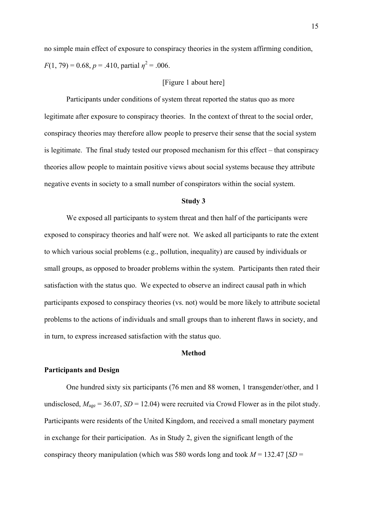no simple main effect of exposure to conspiracy theories in the system affirming condition, *F*(1, 79) = 0.68, *p* = .410, partial  $\eta^2$  = .006.

#### [Figure 1 about here]

Participants under conditions of system threat reported the status quo as more legitimate after exposure to conspiracy theories. In the context of threat to the social order, conspiracy theories may therefore allow people to preserve their sense that the social system is legitimate. The final study tested our proposed mechanism for this effect – that conspiracy theories allow people to maintain positive views about social systems because they attribute negative events in society to a small number of conspirators within the social system.

#### **Study 3**

We exposed all participants to system threat and then half of the participants were exposed to conspiracy theories and half were not. We asked all participants to rate the extent to which various social problems (e.g., pollution, inequality) are caused by individuals or small groups, as opposed to broader problems within the system. Participants then rated their satisfaction with the status quo. We expected to observe an indirect causal path in which participants exposed to conspiracy theories (vs. not) would be more likely to attribute societal problems to the actions of individuals and small groups than to inherent flaws in society, and in turn, to express increased satisfaction with the status quo.

#### **Method**

#### **Participants and Design**

One hundred sixty six participants (76 men and 88 women, 1 transgender/other, and 1 undisclosed,  $M_{\text{age}} = 36.07$ ,  $SD = 12.04$ ) were recruited via Crowd Flower as in the pilot study. Participants were residents of the United Kingdom, and received a small monetary payment in exchange for their participation. As in Study 2, given the significant length of the conspiracy theory manipulation (which was 580 words long and took  $M = 132.47$  [*SD* =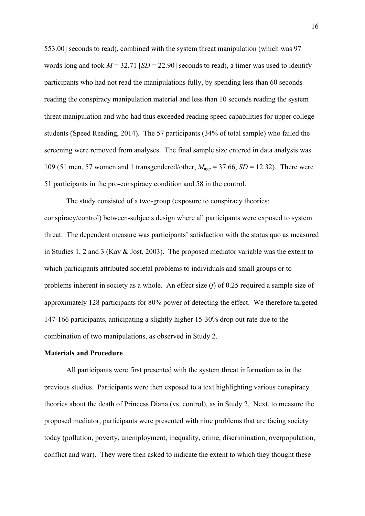553.00] seconds to read), combined with the system threat manipulation (which was 97 words long and took  $M = 32.71$  [*SD* = 22.90] seconds to read), a timer was used to identify participants who had not read the manipulations fully, by spending less than 60 seconds reading the conspiracy manipulation material and less than 10 seconds reading the system threat manipulation and who had thus exceeded reading speed capabilities for upper college students (Speed Reading, 2014). The 57 participants (34% of total sample) who failed the screening were removed from analyses. The final sample size entered in data analysis was 109 (51 men, 57 women and 1 transgendered/other, *M*age = 37.66, *SD* = 12.32). There were 51 participants in the pro-conspiracy condition and 58 in the control.

The study consisted of a two-group (exposure to conspiracy theories: conspiracy/control) between-subjects design where all participants were exposed to system threat. The dependent measure was participants' satisfaction with the status quo as measured in Studies 1, 2 and 3 (Kay & Jost, 2003). The proposed mediator variable was the extent to which participants attributed societal problems to individuals and small groups or to problems inherent in society as a whole. An effect size (*f*) of 0.25 required a sample size of approximately 128 participants for 80% power of detecting the effect. We therefore targeted 147-166 participants, anticipating a slightly higher 15-30% drop out rate due to the combination of two manipulations, as observed in Study 2.

#### **Materials and Procedure**

All participants were first presented with the system threat information as in the previous studies. Participants were then exposed to a text highlighting various conspiracy theories about the death of Princess Diana (vs. control), as in Study 2. Next, to measure the proposed mediator, participants were presented with nine problems that are facing society today (pollution, poverty, unemployment, inequality, crime, discrimination, overpopulation, conflict and war). They were then asked to indicate the extent to which they thought these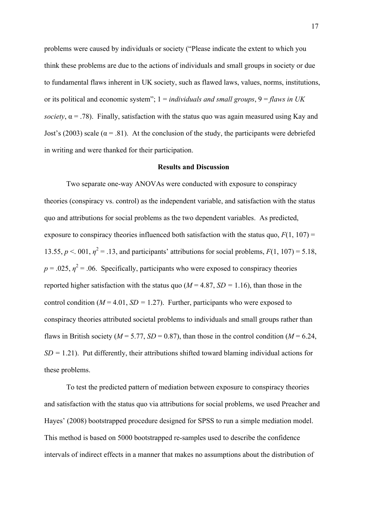problems were caused by individuals or society ("Please indicate the extent to which you think these problems are due to the actions of individuals and small groups in society or due to fundamental flaws inherent in UK society, such as flawed laws, values, norms, institutions, or its political and economic system"; 1 = *individuals and small groups*, 9 = *flaws in UK society*,  $\alpha$  = .78). Finally, satisfaction with the status quo was again measured using Kay and Jost's (2003) scale ( $\alpha$  = .81). At the conclusion of the study, the participants were debriefed in writing and were thanked for their participation.

#### **Results and Discussion**

Two separate one-way ANOVAs were conducted with exposure to conspiracy theories (conspiracy vs. control) as the independent variable, and satisfaction with the status quo and attributions for social problems as the two dependent variables. As predicted, exposure to conspiracy theories influenced both satisfaction with the status quo,  $F(1, 107) =$ 13.55,  $p < 001$ ,  $\eta^2 = .13$ , and participants' attributions for social problems,  $F(1, 107) = 5.18$ ,  $p = 0.025$ ,  $\eta^2 = 0.06$ . Specifically, participants who were exposed to conspiracy theories reported higher satisfaction with the status quo ( $M = 4.87$ ,  $SD = 1.16$ ), than those in the control condition ( $M = 4.01$ ,  $SD = 1.27$ ). Further, participants who were exposed to conspiracy theories attributed societal problems to individuals and small groups rather than flaws in British society ( $M = 5.77$ ,  $SD = 0.87$ ), than those in the control condition ( $M = 6.24$ ,  $SD = 1.21$ ). Put differently, their attributions shifted toward blaming individual actions for these problems.

To test the predicted pattern of mediation between exposure to conspiracy theories and satisfaction with the status quo via attributions for social problems, we used Preacher and Hayes' (2008) bootstrapped procedure designed for SPSS to run a simple mediation model. This method is based on 5000 bootstrapped re-samples used to describe the confidence intervals of indirect effects in a manner that makes no assumptions about the distribution of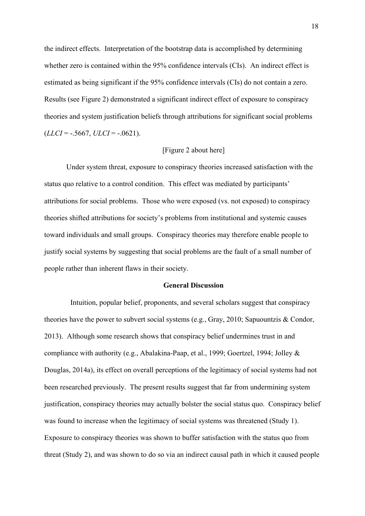the indirect effects. Interpretation of the bootstrap data is accomplished by determining whether zero is contained within the 95% confidence intervals (CIs). An indirect effect is estimated as being significant if the 95% confidence intervals (CIs) do not contain a zero. Results (see Figure 2) demonstrated a significant indirect effect of exposure to conspiracy theories and system justification beliefs through attributions for significant social problems  $(LLCI = -.5667, ULCI = -.0621).$ 

#### [Figure 2 about here]

Under system threat, exposure to conspiracy theories increased satisfaction with the status quo relative to a control condition. This effect was mediated by participants' attributions for social problems. Those who were exposed (vs. not exposed) to conspiracy theories shifted attributions for society's problems from institutional and systemic causes toward individuals and small groups. Conspiracy theories may therefore enable people to justify social systems by suggesting that social problems are the fault of a small number of people rather than inherent flaws in their society.

#### **General Discussion**

Intuition, popular belief, proponents, and several scholars suggest that conspiracy theories have the power to subvert social systems (e.g., Gray, 2010; Sapuountzis & Condor, 2013). Although some research shows that conspiracy belief undermines trust in and compliance with authority (e.g., Abalakina-Paap, et al., 1999; Goertzel, 1994; Jolley & Douglas, 2014a), its effect on overall perceptions of the legitimacy of social systems had not been researched previously. The present results suggest that far from undermining system justification, conspiracy theories may actually bolster the social status quo. Conspiracy belief was found to increase when the legitimacy of social systems was threatened (Study 1). Exposure to conspiracy theories was shown to buffer satisfaction with the status quo from threat (Study 2), and was shown to do so via an indirect causal path in which it caused people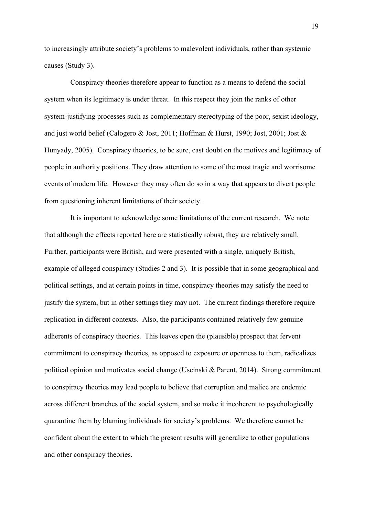to increasingly attribute society's problems to malevolent individuals, rather than systemic causes (Study 3).

Conspiracy theories therefore appear to function as a means to defend the social system when its legitimacy is under threat. In this respect they join the ranks of other system-justifying processes such as complementary stereotyping of the poor, sexist ideology, and just world belief (Calogero & Jost, 2011; Hoffman & Hurst, 1990; Jost, 2001; Jost & Hunyady, 2005). Conspiracy theories, to be sure, cast doubt on the motives and legitimacy of people in authority positions. They draw attention to some of the most tragic and worrisome events of modern life. However they may often do so in a way that appears to divert people from questioning inherent limitations of their society.

It is important to acknowledge some limitations of the current research. We note that although the effects reported here are statistically robust, they are relatively small. Further, participants were British, and were presented with a single, uniquely British, example of alleged conspiracy (Studies 2 and 3). It is possible that in some geographical and political settings, and at certain points in time, conspiracy theories may satisfy the need to justify the system, but in other settings they may not. The current findings therefore require replication in different contexts. Also, the participants contained relatively few genuine adherents of conspiracy theories. This leaves open the (plausible) prospect that fervent commitment to conspiracy theories, as opposed to exposure or openness to them, radicalizes political opinion and motivates social change (Uscinski & Parent, 2014). Strong commitment to conspiracy theories may lead people to believe that corruption and malice are endemic across different branches of the social system, and so make it incoherent to psychologically quarantine them by blaming individuals for society's problems. We therefore cannot be confident about the extent to which the present results will generalize to other populations and other conspiracy theories.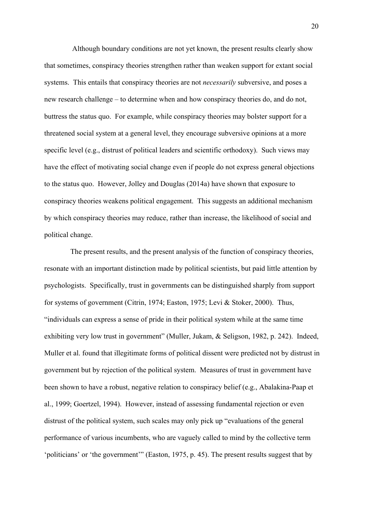Although boundary conditions are not yet known, the present results clearly show that sometimes, conspiracy theories strengthen rather than weaken support for extant social systems. This entails that conspiracy theories are not *necessarily* subversive, and poses a new research challenge – to determine when and how conspiracy theories do, and do not, buttress the status quo. For example, while conspiracy theories may bolster support for a threatened social system at a general level, they encourage subversive opinions at a more specific level (e.g., distrust of political leaders and scientific orthodoxy). Such views may have the effect of motivating social change even if people do not express general objections to the status quo. However, Jolley and Douglas (2014a) have shown that exposure to conspiracy theories weakens political engagement. This suggests an additional mechanism by which conspiracy theories may reduce, rather than increase, the likelihood of social and political change.

The present results, and the present analysis of the function of conspiracy theories, resonate with an important distinction made by political scientists, but paid little attention by psychologists. Specifically, trust in governments can be distinguished sharply from support for systems of government (Citrin, 1974; Easton, 1975; Levi & Stoker, 2000). Thus, "individuals can express a sense of pride in their political system while at the same time exhibiting very low trust in government" (Muller, Jukam, & Seligson, 1982, p. 242). Indeed, Muller et al. found that illegitimate forms of political dissent were predicted not by distrust in government but by rejection of the political system. Measures of trust in government have been shown to have a robust, negative relation to conspiracy belief (e.g., Abalakina-Paap et al., 1999; Goertzel, 1994). However, instead of assessing fundamental rejection or even distrust of the political system, such scales may only pick up "evaluations of the general performance of various incumbents, who are vaguely called to mind by the collective term 'politicians' or 'the government'" (Easton, 1975, p. 45). The present results suggest that by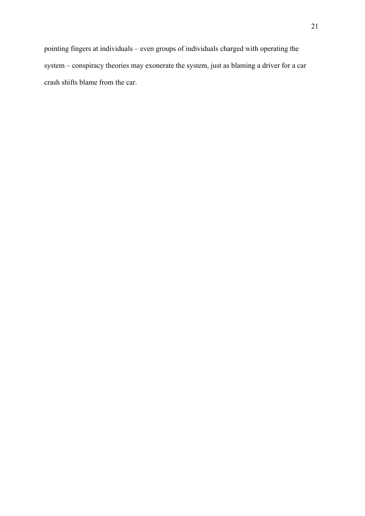pointing fingers at individuals – even groups of individuals charged with operating the system – conspiracy theories may exonerate the system, just as blaming a driver for a car crash shifts blame from the car.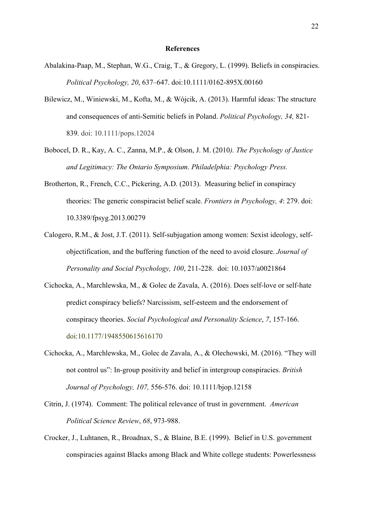#### **References**

- Abalakina-Paap, M., Stephan, W.G., Craig, T., & Gregory, L. (1999). Beliefs in conspiracies. *Political Psychology, 20*, 637–647. doi:10.1111/0162-895X.00160
- Bilewicz, M., Winiewski, M., Kofta, M., & Wójcik, A. (2013). Harmful ideas: The structure and consequences of anti-Semitic beliefs in Poland. *Political Psychology, 34,* 821- 839. doi: 10.1111/pops.12024
- Bobocel, D. R., Kay, A. C., Zanna, M.P., & Olson, J. M. (2010*). The Psychology of Justice and Legitimacy: The Ontario Symposium*. *Philadelphia: Psychology Press.*
- Brotherton, R., French, C.C., Pickering, A.D. (2013). Measuring belief in conspiracy theories: The generic conspiracist belief scale. *Frontiers in Psychology, 4*: 279. doi: 10.3389/fpsyg.2013.00279
- Calogero, R.M., & Jost, J.T. (2011). Self-subjugation among women: Sexist ideology, selfobjectification, and the buffering function of the need to avoid closure. *Journal of Personality and Social Psychology, 100*, 211-228. doi: 10.1037/a0021864
- Cichocka, A., Marchlewska, M., & Golec de Zavala, A. (2016). Does self-love or self-hate predict conspiracy beliefs? Narcissism, self-esteem and the endorsement of conspiracy theories. *Social Psychological and Personality Science*, *7*, 157-166. doi:10.1177/1948550615616170
- Cichocka, A., Marchlewska, M., Golec de Zavala, A., & Olechowski, M. (2016). "They will not control us": In-group positivity and belief in intergroup conspiracies. *British Journal of Psychology, 107,* 556-576. doi: 10.1111/bjop.12158
- Citrin, J. (1974). Comment: The political relevance of trust in government. *American Political Science Review*, *68*, 973-988.
- Crocker, J., Luhtanen, R., Broadnax, S., & Blaine, B.E. (1999). Belief in U.S. government conspiracies against Blacks among Black and White college students: Powerlessness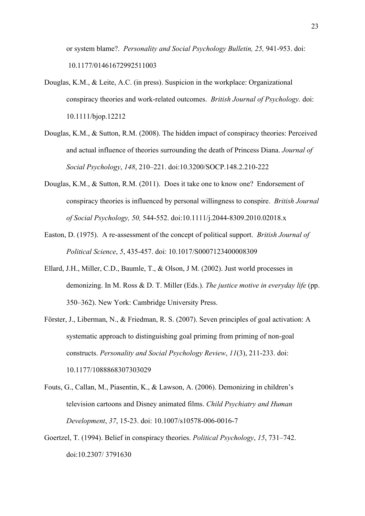or system blame?. *Personality and Social Psychology Bulletin, 25,* 941-953. doi: 10.1177/01461672992511003

- Douglas, K.M., & Leite, A.C. (in press). Suspicion in the workplace: Organizational conspiracy theories and work-related outcomes. *British Journal of Psychology.* doi: 10.1111/bjop.12212
- Douglas, K.M., & Sutton, R.M. (2008). The hidden impact of conspiracy theories: Perceived and actual influence of theories surrounding the death of Princess Diana. *Journal of Social Psychology*, *148*, 210–221. doi:10.3200/SOCP.148.2.210-222
- Douglas, K.M., & Sutton, R.M. (2011). Does it take one to know one? Endorsement of conspiracy theories is influenced by personal willingness to conspire. *British Journal of Social Psychology, 50,* 544-552. doi:10.1111/j.2044-8309.2010.02018.x
- Easton, D. (1975). A re-assessment of the concept of political support. *British Journal of Political Science*, *5*, 435-457. doi: 10.1017/S0007123400008309
- Ellard, J.H., Miller, C.D., Baumle, T., & Olson, J M. (2002). Just world processes in demonizing. In M. Ross & D. T. Miller (Eds.). *The justice motive in everyday life* (pp. 350–362). New York: Cambridge University Press.
- Förster, J., Liberman, N., & Friedman, R. S. (2007). Seven principles of goal activation: A systematic approach to distinguishing goal priming from priming of non-goal constructs. *Personality and Social Psychology Review*, *11*(3), 211-233. doi: 10.1177/1088868307303029
- Fouts, G., Callan, M., Piasentin, K., & Lawson, A. (2006). Demonizing in children's television cartoons and Disney animated films. *Child Psychiatry and Human Development*, *37*, 15-23. doi: 10.1007/s10578-006-0016-7
- Goertzel, T. (1994). Belief in conspiracy theories. *Political Psychology*, *15*, 731–742. doi:10.2307/ 3791630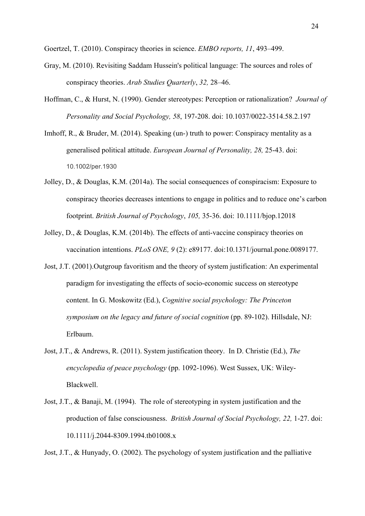Goertzel, T. (2010). Conspiracy theories in science. *EMBO reports, 11*, 493–499.

- Gray, M. (2010). Revisiting Saddam Hussein's political language: The sources and roles of conspiracy theories. *Arab Studies Quarterly*, *32,* 28–46.
- Hoffman, C., & Hurst, N. (1990). Gender stereotypes: Perception or rationalization? *Journal of Personality and Social Psychology, 58*, 197-208. doi: 10.1037/0022-3514.58.2.197
- Imhoff, R., & Bruder, M. (2014). Speaking (un-) truth to power: Conspiracy mentality as a generalised political attitude. *European Journal of Personality, 28,* 25-43. doi: 10.1002/per.1930
- Jolley, D., & Douglas, K.M. (2014a). The social consequences of conspiracism: Exposure to conspiracy theories decreases intentions to engage in politics and to reduce one's carbon footprint. *British Journal of Psychology*, *105,* 35-36. doi: 10.1111/bjop.12018
- Jolley, D., & Douglas, K.M. (2014b). The effects of anti-vaccine conspiracy theories on vaccination intentions. *PLoS ONE, 9* (2): e89177. doi:10.1371/journal.pone.0089177.
- Jost, J.T. (2001).Outgroup favoritism and the theory of system justification: An experimental paradigm for investigating the effects of socio-economic success on stereotype content. In G. Moskowitz (Ed.), *Cognitive social psychology: The Princeton symposium on the legacy and future of social cognition* (pp. 89-102). Hillsdale, NJ: Erlbaum.
- Jost, J.T., & Andrews, R. (2011). System justification theory. In D. Christie (Ed.), *The encyclopedia of peace psychology* (pp. 1092-1096). West Sussex, UK: Wiley-Blackwell.
- Jost, J.T., & Banaji, M. (1994). The role of stereotyping in system justification and the production of false consciousness. *British Journal of Social Psychology, 22,* 1-27. doi: 10.1111/j.2044-8309.1994.tb01008.x

Jost, J.T., & Hunyady, O. (2002). The psychology of system justification and the palliative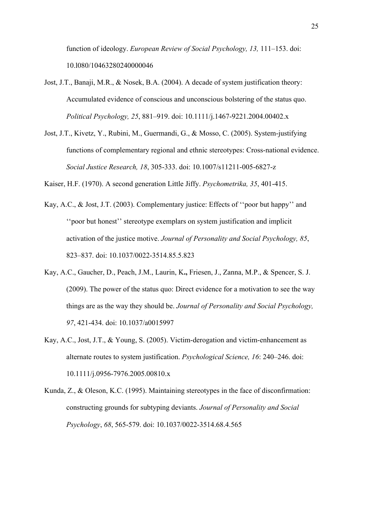function of ideology. *European Review of Social Psychology, 13,* 111–153. doi: 10.l080/10463280240000046

- Jost, J.T., Banaji, M.R., & Nosek, B.A. (2004). A decade of system justification theory: Accumulated evidence of conscious and unconscious bolstering of the status quo. *Political Psychology, 25*, 881–919. doi: 10.1111/j.1467-9221.2004.00402.x
- Jost, J.T., Kivetz, Y., Rubini, M., Guermandi, G., & Mosso, C. (2005). System-justifying functions of complementary regional and ethnic stereotypes: Cross-national evidence. *Social Justice Research, 18*, 305-333. doi: 10.1007/s11211-005-6827-z

Kaiser, H.F. (1970). A second generation Little Jiffy. *Psychometrika, 35*, 401-415.

- Kay, A.C., & Jost, J.T. (2003). Complementary justice: Effects of ''poor but happy'' and ''poor but honest'' stereotype exemplars on system justification and implicit activation of the justice motive. *Journal of Personality and Social Psychology, 85*, 823–837. doi: 10.1037/0022-3514.85.5.823
- Kay, A.C., Gaucher, D., Peach, J.M., Laurin, K**.,** Friesen, J., Zanna, M.P., & Spencer, S. J. (2009). The power of the status quo: Direct evidence for a motivation to see the way things are as the way they should be. *Journal of Personality and Social Psychology, 97*, 421-434. doi: 10.1037/a0015997
- Kay, A.C., Jost, J.T., & Young, S. (2005). Victim-derogation and victim-enhancement as alternate routes to system justification. *Psychological Science, 16*: 240–246. doi: 10.1111/j.0956-7976.2005.00810.x
- Kunda, Z., & Oleson, K.C. (1995). Maintaining stereotypes in the face of disconfirmation: constructing grounds for subtyping deviants. *Journal of Personality and Social Psychology*, *68*, 565-579. doi: 10.1037/0022-3514.68.4.565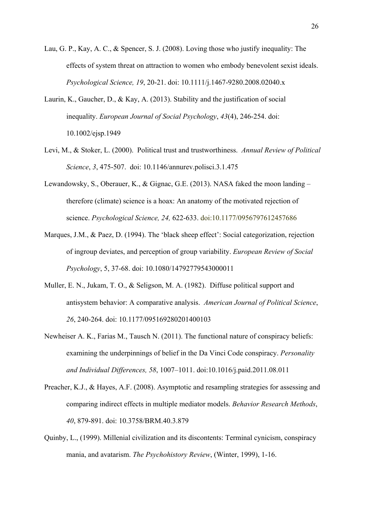- Lau, G. P., Kay, A. C., & Spencer, S. J. (2008). Loving those who justify inequality: The effects of system threat on attraction to women who embody benevolent sexist ideals. *Psychological Science, 19*, 20-21. doi: 10.1111/j.1467-9280.2008.02040.x
- Laurin, K., Gaucher, D., & Kay, A. (2013). Stability and the justification of social inequality. *European Journal of Social Psychology*, *43*(4), 246-254. doi: 10.1002/ejsp.1949
- Levi, M., & Stoker, L. (2000). Political trust and trustworthiness. *Annual Review of Political Science*, *3*, 475-507. doi: 10.1146/annurev.polisci.3.1.475
- Lewandowsky, S., Oberauer, K., & Gignac, G.E. (2013). NASA faked the moon landing therefore (climate) science is a hoax: An anatomy of the motivated rejection of science. *Psychological Science, 24,* 622-633. doi:10.1177/0956797612457686
- Marques, J.M., & Paez, D. (1994). The 'black sheep effect': Social categorization, rejection of ingroup deviates, and perception of group variability. *European Review of Social Psychology*, 5, 37-68. doi: 10.1080/14792779543000011
- Muller, E. N., Jukam, T. O., & Seligson, M. A. (1982). Diffuse political support and antisystem behavior: A comparative analysis. *American Journal of Political Science*, *26*, 240-264. doi: 10.1177/095169280201400103
- Newheiser A. K., Farias M., Tausch N. (2011). The functional nature of conspiracy beliefs: examining the underpinnings of belief in the Da Vinci Code conspiracy. *Personality and Individual Differences, 58*, 1007–1011. doi:10.1016/j.paid.2011.08.011
- Preacher, K.J., & Hayes, A.F. (2008). Asymptotic and resampling strategies for assessing and comparing indirect effects in multiple mediator models. *Behavior Research Methods*, *40*, 879-891. doi: 10.3758/BRM.40.3.879
- Quinby, L., (1999). Millenial civilization and its discontents: Terminal cynicism, conspiracy mania, and avatarism. *The Psychohistory Review*, (Winter, 1999), 1-16.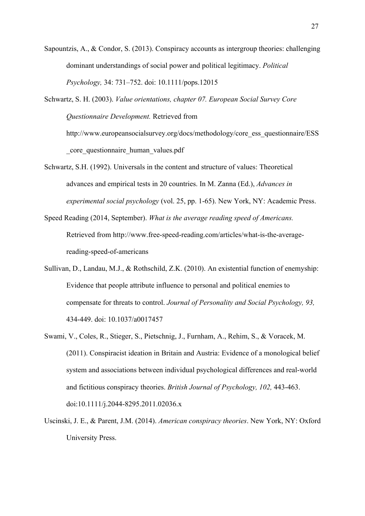Sapountzis, A., & Condor, S. (2013). Conspiracy accounts as intergroup theories: challenging dominant understandings of social power and political legitimacy. *Political Psychology,* 34: 731–752. doi: 10.1111/pops.12015

Schwartz, S. H. (2003). *Value orientations, chapter 07. European Social Survey Core Questionnaire Development.* Retrieved from http://www.europeansocialsurvey.org/docs/methodology/core\_ess\_questionnaire/ESS \_core\_questionnaire\_human\_values.pdf

- Schwartz, S.H. (1992). Universals in the content and structure of values: Theoretical advances and empirical tests in 20 countries. In M. Zanna (Ed.), *Advances in experimental social psychology* (vol. 25, pp. 1-65). New York, NY: Academic Press.
- Speed Reading (2014, September). *What is the average reading speed of Americans.*  Retrieved from http://www.free-speed-reading.com/articles/what-is-the-averagereading-speed-of-americans
- Sullivan, D., Landau, M.J., & Rothschild, Z.K. (2010). An existential function of enemyship: Evidence that people attribute influence to personal and political enemies to compensate for threats to control. *Journal of Personality and Social Psychology, 93,*  434-449. doi: 10.1037/a0017457
- Swami, V., Coles, R., Stieger, S., Pietschnig, J., Furnham, A., Rehim, S., & Voracek, M. (2011). Conspiracist ideation in Britain and Austria: Evidence of a monological belief system and associations between individual psychological differences and real-world and fictitious conspiracy theories. *British Journal of Psychology, 102,* 443-463. doi:10.1111/j.2044-8295.2011.02036.x
- Uscinski, J. E., & Parent, J.M. (2014). *American conspiracy theories*. New York, NY: Oxford University Press.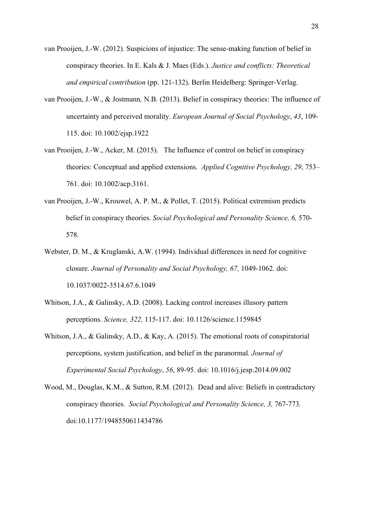- van Prooijen, J.-W. (2012). Suspicions of injustice: The sense-making function of belief in conspiracy theories. In E. Kals & J. Maes (Eds.). *Justice and conflicts: Theoretical and empirical contribution* (pp. 121-132). Berlin Heidelberg: Springer-Verlag.
- van Prooijen, J.-W., & Jostmann*,* N.B*.* (2013). Belief in conspiracy theories: The influence of uncertainty and perceived morality. *European Journal of Social Psychology*, *43*, 109- 115. doi: 10.1002/ejsp.1922
- van Prooijen, J.-W., Acker, M. (2015). The Influence of control on belief in conspiracy theories: Conceptual and applied extensions. *Applied Cognitive Psychology, 29*, 753– 761. doi: 10.1002/acp.3161.
- van Prooijen, J.-W., Krouwel, A. P. M., & Pollet, T. (2015). Political extremism predicts belief in conspiracy theories. *Social Psychological and Personality Science, 6,* 570- 578*.*
- Webster, D. M., & Kruglanski, A.W. (1994). Individual differences in need for cognitive closure. *Journal of Personality and Social Psychology, 67,* 1049-1062. doi: 10.1037/0022-3514.67.6.1049
- Whitson, J.A., & Galinsky, A.D. (2008). Lacking control increases illusory pattern perceptions. *Science, 322,* 115-117. doi: 10.1126/science.1159845
- Whitson, J.A., & Galinsky, A.D., & Kay, A. (2015). The emotional roots of conspiratorial perceptions, system justification, and belief in the paranormal*. Journal of Experimental Social Psychology*, *56*, 89-95. doi: 10.1016/j.jesp.2014.09.002
- Wood, M., Douglas, K.M., & Sutton, R.M. (2012). Dead and alive: Beliefs in contradictory conspiracy theories. *Social Psychological and Personality Science, 3,* 767-773*.* doi:10.1177/1948550611434786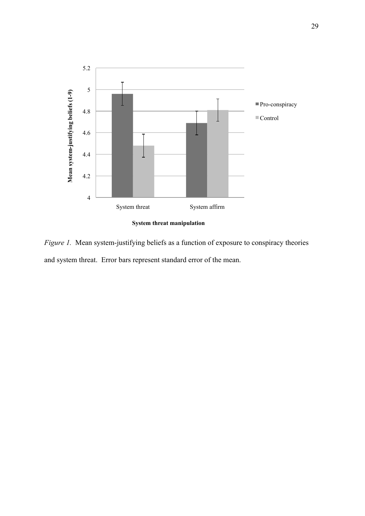

*Figure 1.* Mean system-justifying beliefs as a function of exposure to conspiracy theories and system threat. Error bars represent standard error of the mean.